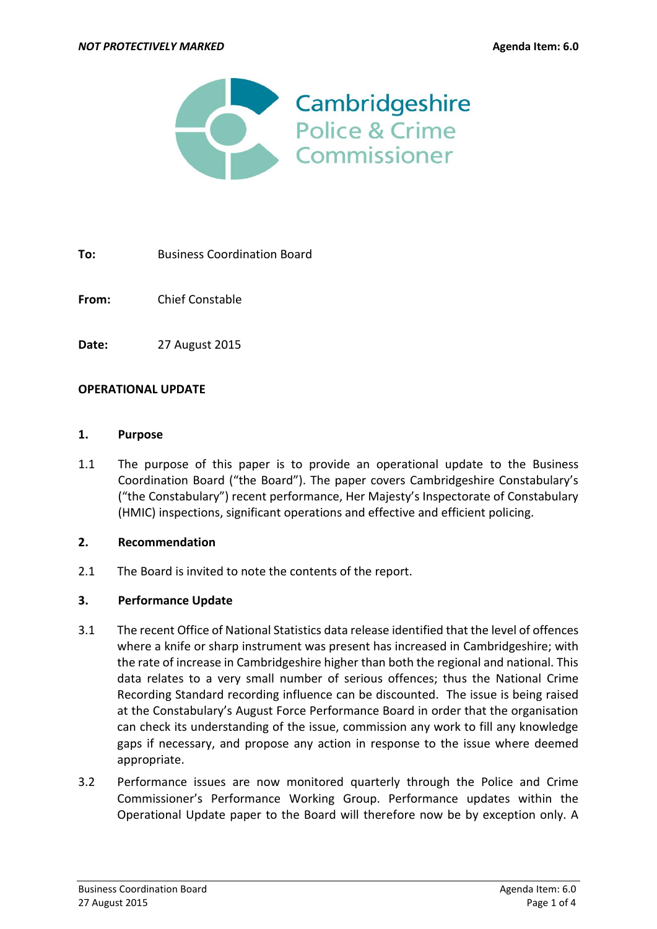

**To:** Business Coordination Board

**From:** Chief Constable

**Date:** 27 August 2015

### **OPERATIONAL UPDATE**

#### **1. Purpose**

1.1 The purpose of this paper is to provide an operational update to the Business Coordination Board ("the Board"). The paper covers Cambridgeshire Constabulary's ("the Constabulary") recent performance, Her Majesty's Inspectorate of Constabulary (HMIC) inspections, significant operations and effective and efficient policing.

### **2. Recommendation**

2.1 The Board is invited to note the contents of the report.

### **3. Performance Update**

- 3.1 The recent Office of National Statistics data release identified that the level of offences where a knife or sharp instrument was present has increased in Cambridgeshire; with the rate of increase in Cambridgeshire higher than both the regional and national. This data relates to a very small number of serious offences; thus the National Crime Recording Standard recording influence can be discounted. The issue is being raised at the Constabulary's August Force Performance Board in order that the organisation can check its understanding of the issue, commission any work to fill any knowledge gaps if necessary, and propose any action in response to the issue where deemed appropriate.
- 3.2 Performance issues are now monitored quarterly through the Police and Crime Commissioner's Performance Working Group. Performance updates within the Operational Update paper to the Board will therefore now be by exception only. A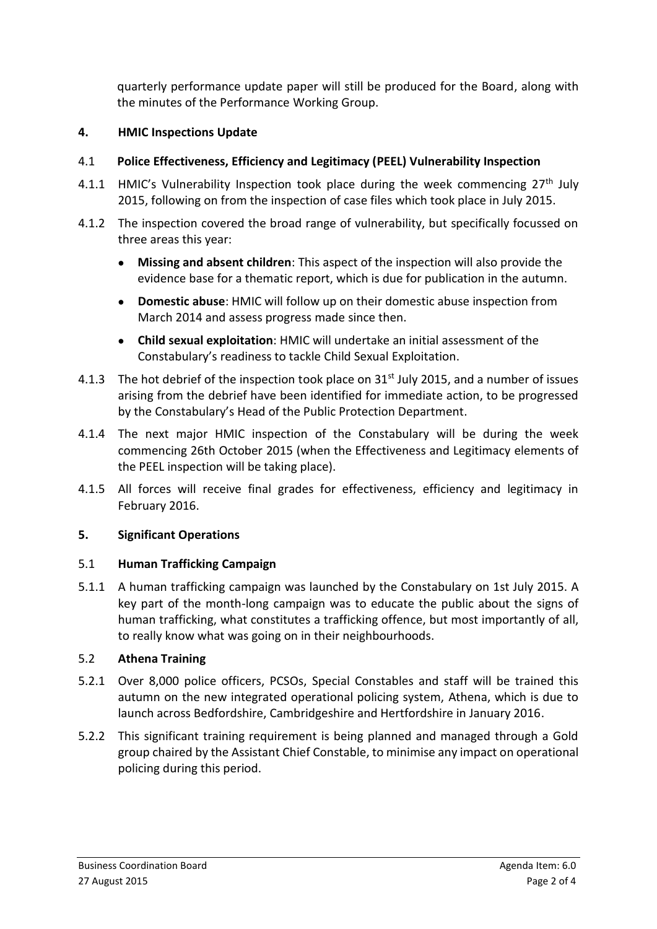quarterly performance update paper will still be produced for the Board, along with the minutes of the Performance Working Group.

## **4. HMIC Inspections Update**

# 4.1 **Police Effectiveness, Efficiency and Legitimacy (PEEL) Vulnerability Inspection**

- 4.1.1 HMIC's Vulnerability Inspection took place during the week commencing  $27<sup>th</sup>$  July 2015, following on from the inspection of case files which took place in July 2015.
- 4.1.2 The inspection covered the broad range of vulnerability, but specifically focussed on three areas this year:
	- **Missing and absent children**: This aspect of the inspection will also provide the evidence base for a thematic report, which is due for publication in the autumn.
	- **Domestic abuse**: HMIC will follow up on their domestic abuse inspection from March 2014 and assess progress made since then.
	- **Child sexual exploitation**: HMIC will undertake an initial assessment of the Constabulary's readiness to tackle Child Sexual Exploitation.
- 4.1.3 The hot debrief of the inspection took place on  $31<sup>st</sup>$  July 2015, and a number of issues arising from the debrief have been identified for immediate action, to be progressed by the Constabulary's Head of the Public Protection Department.
- 4.1.4 The next major HMIC inspection of the Constabulary will be during the week commencing 26th October 2015 (when the Effectiveness and Legitimacy elements of the PEEL inspection will be taking place).
- 4.1.5 All forces will receive final grades for effectiveness, efficiency and legitimacy in February 2016.

## **5. Significant Operations**

## 5.1 **Human Trafficking Campaign**

5.1.1 A human trafficking campaign was launched by the Constabulary on 1st July 2015. A key part of the month-long campaign was to educate the public about the signs of human trafficking, what constitutes a trafficking offence, but most importantly of all, to really know what was going on in their neighbourhoods.

# 5.2 **Athena Training**

- 5.2.1 Over 8,000 police officers, PCSOs, Special Constables and staff will be trained this autumn on the new integrated operational policing system, Athena, which is due to launch across Bedfordshire, Cambridgeshire and Hertfordshire in January 2016.
- 5.2.2 This significant training requirement is being planned and managed through a Gold group chaired by the Assistant Chief Constable, to minimise any impact on operational policing during this period.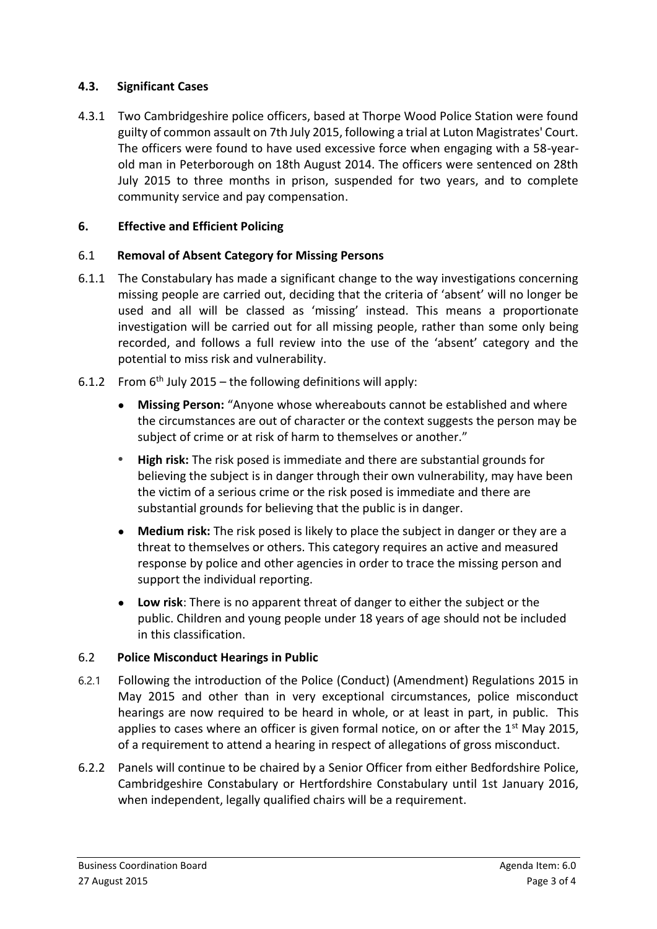## **4.3. Significant Cases**

4.3.1 Two Cambridgeshire police officers, based at Thorpe Wood Police Station were found guilty of common assault on 7th July 2015, following a trial at Luton Magistrates' Court. The officers were found to have used excessive force when engaging with a 58-yearold man in Peterborough on 18th August 2014. The officers were sentenced on 28th July 2015 to three months in prison, suspended for two years, and to complete community service and pay compensation.

# **6. Effective and Efficient Policing**

# 6.1 **Removal of Absent Category for Missing Persons**

- 6.1.1 The Constabulary has made a significant change to the way investigations concerning missing people are carried out, deciding that the criteria of 'absent' will no longer be used and all will be classed as 'missing' instead. This means a proportionate investigation will be carried out for all missing people, rather than some only being recorded, and follows a full review into the use of the 'absent' category and the potential to miss risk and vulnerability.
- 6.1.2 From  $6<sup>th</sup>$  July 2015 the following definitions will apply:
	- **Missing Person:** "Anyone whose whereabouts cannot be established and where the circumstances are out of character or the context suggests the person may be subject of crime or at risk of harm to themselves or another."
	- **High risk:** The risk posed is immediate and there are substantial grounds for believing the subject is in danger through their own vulnerability, may have been the victim of a serious crime or the risk posed is immediate and there are substantial grounds for believing that the public is in danger.
	- **Medium risk:** The risk posed is likely to place the subject in danger or they are a threat to themselves or others. This category requires an active and measured response by police and other agencies in order to trace the missing person and support the individual reporting.
	- **Low risk**: There is no apparent threat of danger to either the subject or the public. Children and young people under 18 years of age should not be included in this classification.

## 6.2 **Police Misconduct Hearings in Public**

- 6.2.1 Following the introduction of the Police (Conduct) (Amendment) Regulations 2015 in May 2015 and other than in very exceptional circumstances, police misconduct hearings are now required to be heard in whole, or at least in part, in public. This applies to cases where an officer is given formal notice, on or after the  $1<sup>st</sup>$  May 2015, of a requirement to attend a hearing in respect of allegations of gross misconduct.
- 6.2.2 Panels will continue to be chaired by a Senior Officer from either Bedfordshire Police, Cambridgeshire Constabulary or Hertfordshire Constabulary until 1st January 2016, when independent, legally qualified chairs will be a requirement.